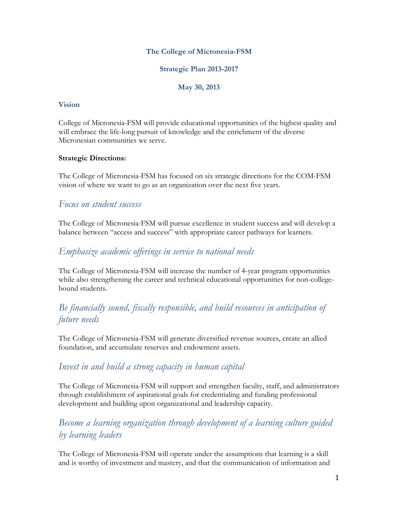### **The College of Micronesia-FSM**

**Strategic Plan 2013-2017**

**May 30, 2013**

#### **Vision**

College of Micronesia-FSM will provide educational opportunities of the highest quality and will embrace the life-long pursuit of knowledge and the enrichment of the diverse Micronesian communities we serve.

#### **Strategic Directions:**

The College of Micronesia-FSM has focused on six strategic directions for the COM-FSM vision of where we want to go as an organization over the next five years.

## *Focus on student success*

The College of Micronesia-FSM will pursue excellence in student success and will develop a balance between "access and success" with appropriate career pathways for learners.

## *Emphasize academic offerings in service to national needs*

The College of Micronesia-FSM will increase the number of 4-year program opportunities while also strengthening the career and technical educational opportunities for non-collegebound students.

# *Be financially sound, fiscally responsible, and build resources in anticipation of future needs*

The College of Micronesia-FSM will generate diversified revenue sources, create an allied foundation, and accumulate reserves and endowment assets.

## *Invest in and build a strong capacity in human capital*

The College of Micronesia-FSM will support and strengthen faculty, staff, and administrators through establishment of aspirational goals for credentialing and funding professional development and building upon organizational and leadership capacity.

# *Become a learning organization through development of a learning culture guided by learning leaders*

The College of Micronesia-FSM will operate under the assumptions that learning is a skill and is worthy of investment and mastery, and that the communication of information and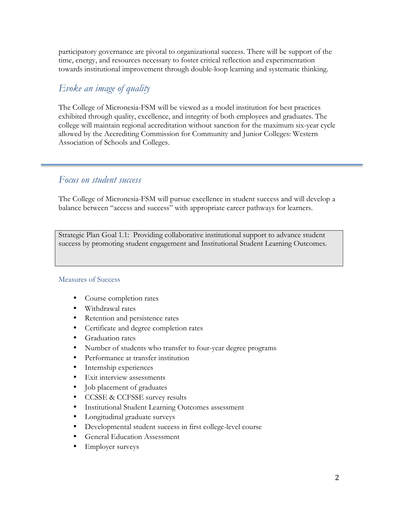participatory governance are pivotal to organizational success. There will be support of the time, energy, and resources necessary to foster critical reflection and experimentation towards institutional improvement through double-loop learning and systematic thinking.

## *Evoke an image of quality*

The College of Micronesia-FSM will be viewed as a model institution for best practices exhibited through quality, excellence, and integrity of both employees and graduates. The college will maintain regional accreditation without sanction for the maximum six-year cycle allowed by the Accrediting Commission for Community and Junior Colleges: Western Association of Schools and Colleges.

## *Focus on student success*

The College of Micronesia-FSM will pursue excellence in student success and will develop a balance between "access and success" with appropriate career pathways for learners.

Strategic Plan Goal 1.1: Providing collaborative institutional support to advance student success by promoting student engagement and Institutional Student Learning Outcomes.

- Course completion rates
- Withdrawal rates
- Retention and persistence rates
- Certificate and degree completion rates
- Graduation rates
- Number of students who transfer to four-year degree programs
- Performance at transfer institution
- Internship experiences
- Exit interview assessments
- Job placement of graduates
- CCSSE & CCFSSE survey results
- Institutional Student Learning Outcomes assessment
- Longitudinal graduate surveys
- Developmental student success in first college-level course
- General Education Assessment
- Employer surveys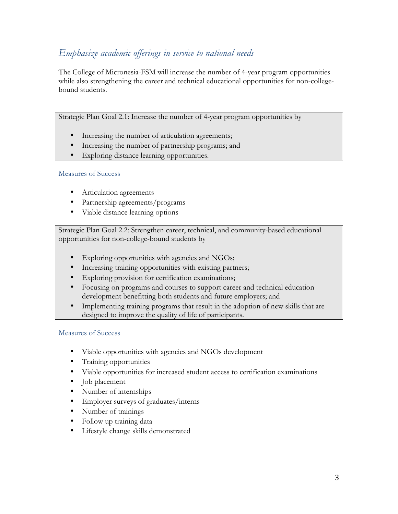# *Emphasize academic offerings in service to national needs*

The College of Micronesia-FSM will increase the number of 4-year program opportunities while also strengthening the career and technical educational opportunities for non-collegebound students.

Strategic Plan Goal 2.1: Increase the number of 4-year program opportunities by

- Increasing the number of articulation agreements;
- Increasing the number of partnership programs; and
- Exploring distance learning opportunities.

#### Measures of Success

- Articulation agreements
- Partnership agreements/programs
- Viable distance learning options

Strategic Plan Goal 2.2: Strengthen career, technical, and community-based educational opportunities for non-college-bound students by

- Exploring opportunities with agencies and NGOs;
- Increasing training opportunities with existing partners;
- Exploring provision for certification examinations;
- Focusing on programs and courses to support career and technical education development benefitting both students and future employers; and
- Implementing training programs that result in the adoption of new skills that are designed to improve the quality of life of participants.

- Viable opportunities with agencies and NGOs development
- Training opportunities
- Viable opportunities for increased student access to certification examinations
- Job placement
- Number of internships
- Employer surveys of graduates/interns
- Number of trainings
- Follow up training data
- Lifestyle change skills demonstrated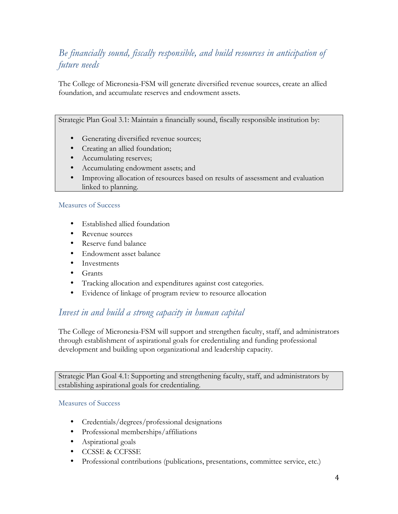# *Be financially sound, fiscally responsible, and build resources in anticipation of future needs*

The College of Micronesia-FSM will generate diversified revenue sources, create an allied foundation, and accumulate reserves and endowment assets.

Strategic Plan Goal 3.1: Maintain a financially sound, fiscally responsible institution by:

- Generating diversified revenue sources;
- Creating an allied foundation;
- Accumulating reserves;
- Accumulating endowment assets; and
- Improving allocation of resources based on results of assessment and evaluation linked to planning.

#### Measures of Success

- Established allied foundation
- Revenue sources
- Reserve fund balance
- Endowment asset balance
- Investments
- Grants
- Tracking allocation and expenditures against cost categories.
- Evidence of linkage of program review to resource allocation

## *Invest in and build a strong capacity in human capital*

The College of Micronesia-FSM will support and strengthen faculty, staff, and administrators through establishment of aspirational goals for credentialing and funding professional development and building upon organizational and leadership capacity.

Strategic Plan Goal 4.1: Supporting and strengthening faculty, staff, and administrators by establishing aspirational goals for credentialing.

- Credentials/degrees/professional designations
- Professional memberships/affiliations
- Aspirational goals
- CCSSE & CCFSSE
- Professional contributions (publications, presentations, committee service, etc.)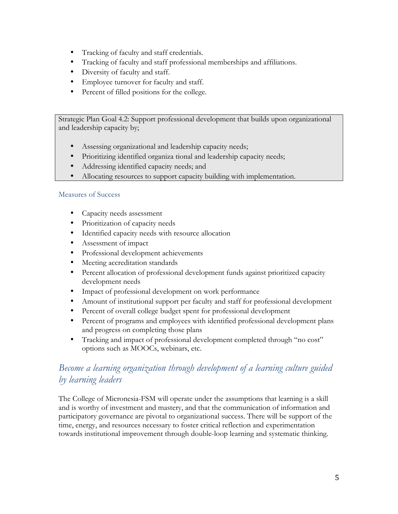- Tracking of faculty and staff credentials.
- Tracking of faculty and staff professional memberships and affiliations.
- Diversity of faculty and staff.
- Employee turnover for faculty and staff.
- Percent of filled positions for the college.

Strategic Plan Goal 4.2: Support professional development that builds upon organizational and leadership capacity by;

- Assessing organizational and leadership capacity needs;
- Prioritizing identified organiza tional and leadership capacity needs;
- Addressing identified capacity needs; and
- Allocating resources to support capacity building with implementation.

#### Measures of Success

- Capacity needs assessment
- Prioritization of capacity needs
- Identified capacity needs with resource allocation
- Assessment of impact
- Professional development achievements
- Meeting accreditation standards
- Percent allocation of professional development funds against prioritized capacity development needs
- Impact of professional development on work performance
- Amount of institutional support per faculty and staff for professional development
- Percent of overall college budget spent for professional development
- Percent of programs and employees with identified professional development plans and progress on completing those plans
- Tracking and impact of professional development completed through "no cost" options such as MOOCs, webinars, etc.

# *Become a learning organization through development of a learning culture guided by learning leaders*

The College of Micronesia-FSM will operate under the assumptions that learning is a skill and is worthy of investment and mastery, and that the communication of information and participatory governance are pivotal to organizational success. There will be support of the time, energy, and resources necessary to foster critical reflection and experimentation towards institutional improvement through double-loop learning and systematic thinking.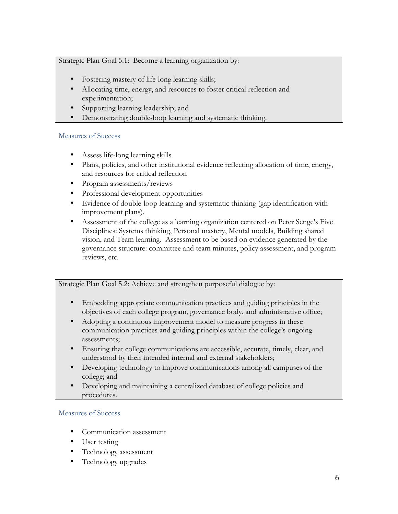Strategic Plan Goal 5.1: Become a learning organization by:

- Fostering mastery of life-long learning skills;
- Allocating time, energy, and resources to foster critical reflection and experimentation;
- Supporting learning leadership; and
- Demonstrating double-loop learning and systematic thinking.

### Measures of Success

- Assess life-long learning skills
- Plans, policies, and other institutional evidence reflecting allocation of time, energy, and resources for critical reflection
- Program assessments/reviews
- Professional development opportunities
- Evidence of double-loop learning and systematic thinking (gap identification with improvement plans).
- Assessment of the college as a learning organization centered on Peter Senge's Five Disciplines: Systems thinking, Personal mastery, Mental models, Building shared vision, and Team learning. Assessment to be based on evidence generated by the governance structure: committee and team minutes, policy assessment, and program reviews, etc.

Strategic Plan Goal 5.2: Achieve and strengthen purposeful dialogue by:

- Embedding appropriate communication practices and guiding principles in the objectives of each college program, governance body, and administrative office;
- Adopting a continuous improvement model to measure progress in these communication practices and guiding principles within the college's ongoing assessments;
- Ensuring that college communications are accessible, accurate, timely, clear, and understood by their intended internal and external stakeholders;
- Developing technology to improve communications among all campuses of the college; and
- Developing and maintaining a centralized database of college policies and procedures.

- Communication assessment
- User testing
- Technology assessment
- Technology upgrades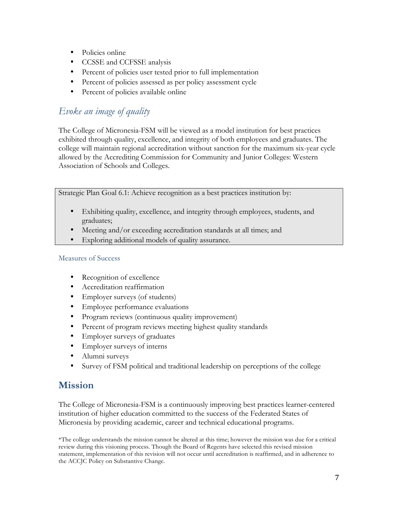- Policies online
- CCSSE and CCFSSE analysis
- Percent of policies user tested prior to full implementation
- Percent of policies assessed as per policy assessment cycle
- Percent of policies available online

# *Evoke an image of quality*

The College of Micronesia-FSM will be viewed as a model institution for best practices exhibited through quality, excellence, and integrity of both employees and graduates. The college will maintain regional accreditation without sanction for the maximum six-year cycle allowed by the Accrediting Commission for Community and Junior Colleges: Western Association of Schools and Colleges.

Strategic Plan Goal 6.1: Achieve recognition as a best practices institution by:

- Exhibiting quality, excellence, and integrity through employees, students, and graduates;
- Meeting and/or exceeding accreditation standards at all times; and
- Exploring additional models of quality assurance.

### Measures of Success

- Recognition of excellence
- Accreditation reaffirmation
- Employer surveys (of students)
- Employee performance evaluations
- Program reviews (continuous quality improvement)
- Percent of program reviews meeting highest quality standards
- Employer surveys of graduates
- Employer surveys of interns
- Alumni surveys
- Survey of FSM political and traditional leadership on perceptions of the college

# **Mission**

The College of Micronesia-FSM is a continuously improving best practices learner-centered institution of higher education committed to the success of the Federated States of Micronesia by providing academic, career and technical educational programs.

\*The college understands the mission cannot be altered at this time; however the mission was due for a critical review during this visioning process. Though the Board of Regents have selected this revised mission statement, implementation of this revision will not occur until accreditation is reaffirmed, and in adherence to the ACCJC Policy on Substantive Change.